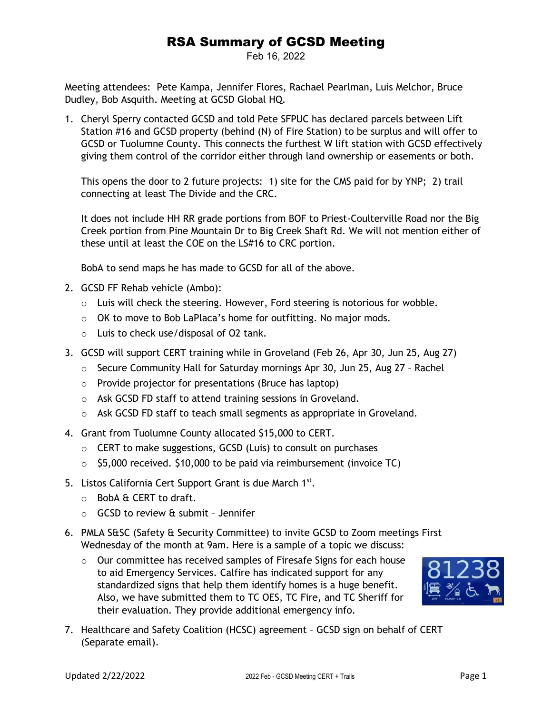## RSA Summary of GCSD Meeting

Feb 16, 2022

Meeting attendees: Pete Kampa, Jennifer Flores, Rachael Pearlman, Luis Melchor, Bruce Dudley, Bob Asquith. Meeting at GCSD Global HQ.

1. Cheryl Sperry contacted GCSD and told Pete SFPUC has declared parcels between Lift Station #16 and GCSD property (behind (N) of Fire Station) to be surplus and will offer to GCSD or Tuolumne County. This connects the furthest W lift station with GCSD effectively giving them control of the corridor either through land ownership or easements or both.

This opens the door to 2 future projects: 1) site for the CMS paid for by YNP; 2) trail connecting at least The Divide and the CRC.

It does not include HH RR grade portions from BOF to Priest-Coulterville Road nor the Big Creek portion from Pine Mountain Dr to Big Creek Shaft Rd. We will not mention either of these until at least the COE on the LS#16 to CRC portion.

BobA to send maps he has made to GCSD for all of the above.

- 2. GCSD FF Rehab vehicle (Ambo):
	- $\circ$  Luis will check the steering. However, Ford steering is notorious for wobble.
	- o OK to move to Bob LaPlaca's home for outfitting. No major mods.
	- o Luis to check use/disposal of O2 tank.
- 3. GCSD will support CERT training while in Groveland (Feb 26, Apr 30, Jun 25, Aug 27)
	- $\circ$  Secure Community Hall for Saturday mornings Apr 30, Jun 25, Aug 27 Rachel
	- o Provide projector for presentations (Bruce has laptop)
	- o Ask GCSD FD staff to attend training sessions in Groveland.
	- o Ask GCSD FD staff to teach small segments as appropriate in Groveland.
- 4. Grant from Tuolumne County allocated \$15,000 to CERT.
	- o CERT to make suggestions, GCSD (Luis) to consult on purchases
	- $\circ$  \$5,000 received. \$10,000 to be paid via reimbursement (invoice TC)
- 5. Listos California Cert Support Grant is due March 1st.
	- $\circ$  BobA & CERT to draft.
	- $\circ$  GCSD to review & submit Jennifer
- 6. PMLA S&SC (Safety & Security Committee) to invite GCSD to Zoom meetings First Wednesday of the month at 9am. Here is a sample of a topic we discuss:
	- o Our committee has received samples of Firesafe Signs for each house to aid Emergency Services. Calfire has indicated support for any standardized signs that help them identify homes is a huge benefit. Also, we have submitted them to TC OES, TC Fire, and TC Sheriff for their evaluation. They provide additional emergency info.



7. Healthcare and Safety Coalition (HCSC) agreement – GCSD sign on behalf of CERT (Separate email).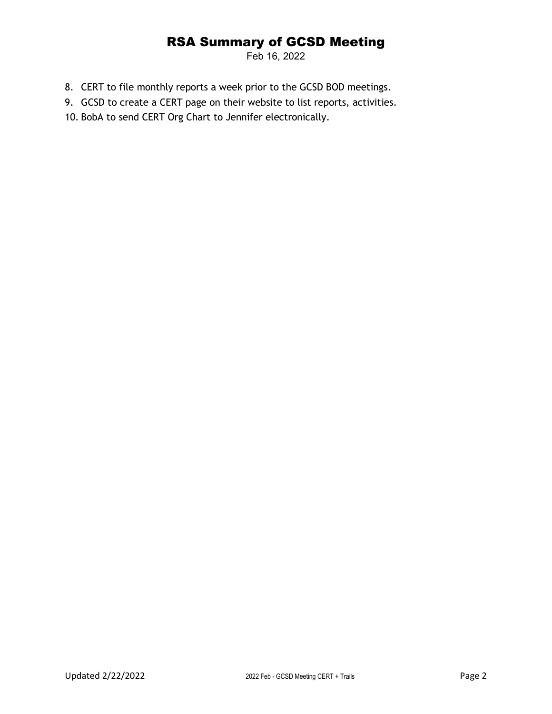## RSA Summary of GCSD Meeting

Feb 16, 2022

- 8. CERT to file monthly reports a week prior to the GCSD BOD meetings.
- 9. GCSD to create a CERT page on their website to list reports, activities.
- 10. BobA to send CERT Org Chart to Jennifer electronically.